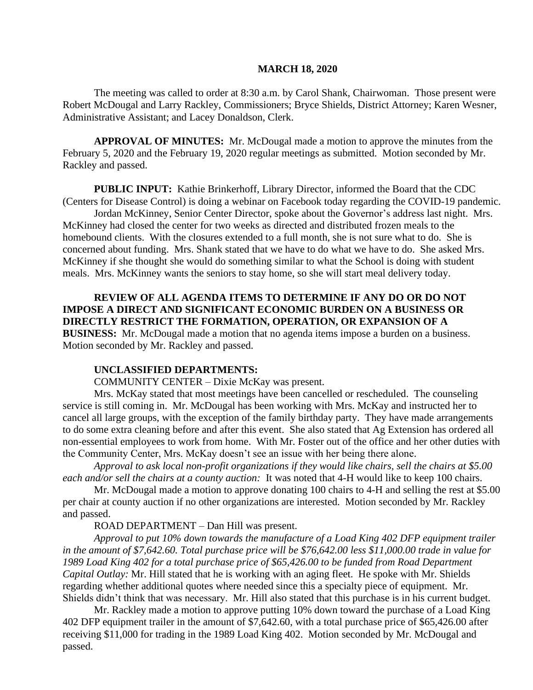#### **MARCH 18, 2020**

The meeting was called to order at 8:30 a.m. by Carol Shank, Chairwoman. Those present were Robert McDougal and Larry Rackley, Commissioners; Bryce Shields, District Attorney; Karen Wesner, Administrative Assistant; and Lacey Donaldson, Clerk.

**APPROVAL OF MINUTES:** Mr. McDougal made a motion to approve the minutes from the February 5, 2020 and the February 19, 2020 regular meetings as submitted. Motion seconded by Mr. Rackley and passed.

**PUBLIC INPUT:** Kathie Brinkerhoff, Library Director, informed the Board that the CDC (Centers for Disease Control) is doing a webinar on Facebook today regarding the COVID-19 pandemic.

Jordan McKinney, Senior Center Director, spoke about the Governor's address last night. Mrs. McKinney had closed the center for two weeks as directed and distributed frozen meals to the homebound clients. With the closures extended to a full month, she is not sure what to do. She is concerned about funding. Mrs. Shank stated that we have to do what we have to do. She asked Mrs. McKinney if she thought she would do something similar to what the School is doing with student meals. Mrs. McKinney wants the seniors to stay home, so she will start meal delivery today.

**REVIEW OF ALL AGENDA ITEMS TO DETERMINE IF ANY DO OR DO NOT IMPOSE A DIRECT AND SIGNIFICANT ECONOMIC BURDEN ON A BUSINESS OR DIRECTLY RESTRICT THE FORMATION, OPERATION, OR EXPANSION OF A BUSINESS:** Mr. McDougal made a motion that no agenda items impose a burden on a business. Motion seconded by Mr. Rackley and passed.

#### **UNCLASSIFIED DEPARTMENTS:**

COMMUNITY CENTER – Dixie McKay was present.

Mrs. McKay stated that most meetings have been cancelled or rescheduled. The counseling service is still coming in. Mr. McDougal has been working with Mrs. McKay and instructed her to cancel all large groups, with the exception of the family birthday party. They have made arrangements to do some extra cleaning before and after this event. She also stated that Ag Extension has ordered all non-essential employees to work from home. With Mr. Foster out of the office and her other duties with the Community Center, Mrs. McKay doesn't see an issue with her being there alone.

*Approval to ask local non-profit organizations if they would like chairs, sell the chairs at \$5.00 each and/or sell the chairs at a county auction:* It was noted that 4-H would like to keep 100 chairs.

Mr. McDougal made a motion to approve donating 100 chairs to 4-H and selling the rest at \$5.00 per chair at county auction if no other organizations are interested. Motion seconded by Mr. Rackley and passed.

ROAD DEPARTMENT – Dan Hill was present.

*Approval to put 10% down towards the manufacture of a Load King 402 DFP equipment trailer in the amount of \$7,642.60. Total purchase price will be \$76,642.00 less \$11,000.00 trade in value for 1989 Load King 402 for a total purchase price of \$65,426.00 to be funded from Road Department Capital Outlay:* Mr. Hill stated that he is working with an aging fleet. He spoke with Mr. Shields regarding whether additional quotes where needed since this a specialty piece of equipment. Mr. Shields didn't think that was necessary. Mr. Hill also stated that this purchase is in his current budget.

Mr. Rackley made a motion to approve putting 10% down toward the purchase of a Load King 402 DFP equipment trailer in the amount of \$7,642.60, with a total purchase price of \$65,426.00 after receiving \$11,000 for trading in the 1989 Load King 402. Motion seconded by Mr. McDougal and passed.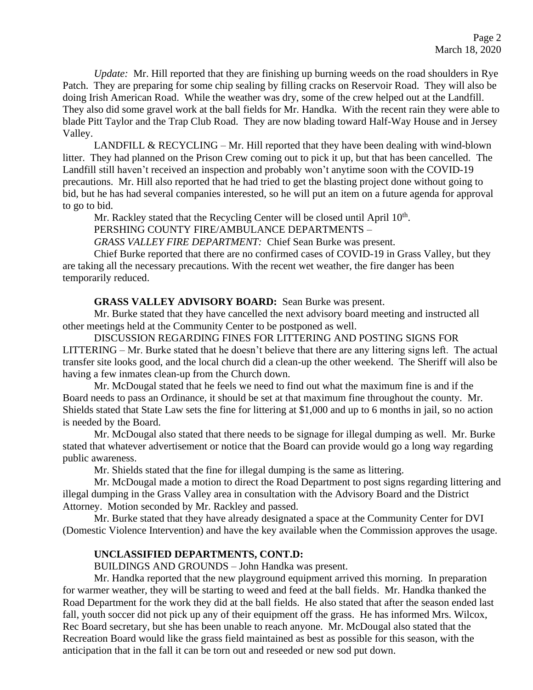*Update:* Mr. Hill reported that they are finishing up burning weeds on the road shoulders in Rye Patch. They are preparing for some chip sealing by filling cracks on Reservoir Road. They will also be doing Irish American Road. While the weather was dry, some of the crew helped out at the Landfill. They also did some gravel work at the ball fields for Mr. Handka. With the recent rain they were able to blade Pitt Taylor and the Trap Club Road. They are now blading toward Half-Way House and in Jersey Valley.

LANDFILL  $&$  RECYCLING – Mr. Hill reported that they have been dealing with wind-blown litter. They had planned on the Prison Crew coming out to pick it up, but that has been cancelled. The Landfill still haven't received an inspection and probably won't anytime soon with the COVID-19 precautions. Mr. Hill also reported that he had tried to get the blasting project done without going to bid, but he has had several companies interested, so he will put an item on a future agenda for approval to go to bid.

Mr. Rackley stated that the Recycling Center will be closed until April 10<sup>th</sup>.

PERSHING COUNTY FIRE/AMBULANCE DEPARTMENTS –

*GRASS VALLEY FIRE DEPARTMENT:* Chief Sean Burke was present.

Chief Burke reported that there are no confirmed cases of COVID-19 in Grass Valley, but they are taking all the necessary precautions. With the recent wet weather, the fire danger has been temporarily reduced.

# **GRASS VALLEY ADVISORY BOARD:** Sean Burke was present.

Mr. Burke stated that they have cancelled the next advisory board meeting and instructed all other meetings held at the Community Center to be postponed as well.

DISCUSSION REGARDING FINES FOR LITTERING AND POSTING SIGNS FOR LITTERING – Mr. Burke stated that he doesn't believe that there are any littering signs left. The actual transfer site looks good, and the local church did a clean-up the other weekend. The Sheriff will also be having a few inmates clean-up from the Church down.

Mr. McDougal stated that he feels we need to find out what the maximum fine is and if the Board needs to pass an Ordinance, it should be set at that maximum fine throughout the county. Mr. Shields stated that State Law sets the fine for littering at \$1,000 and up to 6 months in jail, so no action is needed by the Board.

Mr. McDougal also stated that there needs to be signage for illegal dumping as well. Mr. Burke stated that whatever advertisement or notice that the Board can provide would go a long way regarding public awareness.

Mr. Shields stated that the fine for illegal dumping is the same as littering.

Mr. McDougal made a motion to direct the Road Department to post signs regarding littering and illegal dumping in the Grass Valley area in consultation with the Advisory Board and the District Attorney. Motion seconded by Mr. Rackley and passed.

Mr. Burke stated that they have already designated a space at the Community Center for DVI (Domestic Violence Intervention) and have the key available when the Commission approves the usage.

# **UNCLASSIFIED DEPARTMENTS, CONT.D:**

BUILDINGS AND GROUNDS – John Handka was present.

Mr. Handka reported that the new playground equipment arrived this morning. In preparation for warmer weather, they will be starting to weed and feed at the ball fields. Mr. Handka thanked the Road Department for the work they did at the ball fields. He also stated that after the season ended last fall, youth soccer did not pick up any of their equipment off the grass. He has informed Mrs. Wilcox, Rec Board secretary, but she has been unable to reach anyone. Mr. McDougal also stated that the Recreation Board would like the grass field maintained as best as possible for this season, with the anticipation that in the fall it can be torn out and reseeded or new sod put down.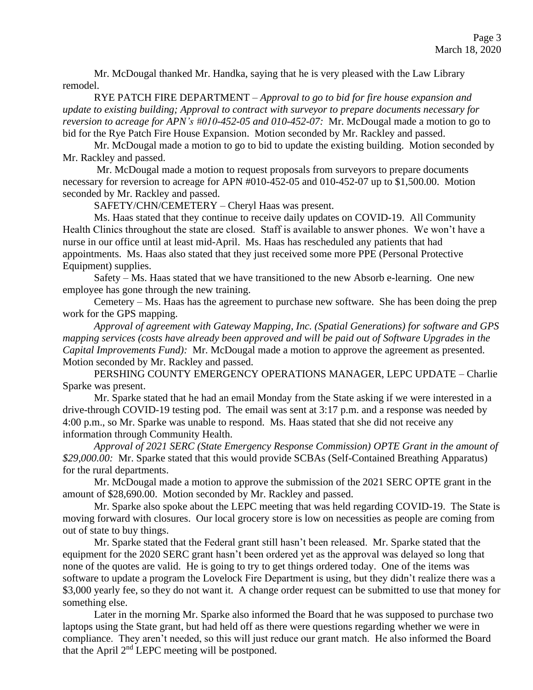Mr. McDougal thanked Mr. Handka, saying that he is very pleased with the Law Library remodel.

RYE PATCH FIRE DEPARTMENT – *Approval to go to bid for fire house expansion and update to existing building; Approval to contract with surveyor to prepare documents necessary for reversion to acreage for APN's #010-452-05 and 010-452-07:* Mr. McDougal made a motion to go to bid for the Rye Patch Fire House Expansion. Motion seconded by Mr. Rackley and passed.

Mr. McDougal made a motion to go to bid to update the existing building. Motion seconded by Mr. Rackley and passed.

Mr. McDougal made a motion to request proposals from surveyors to prepare documents necessary for reversion to acreage for APN #010-452-05 and 010-452-07 up to \$1,500.00. Motion seconded by Mr. Rackley and passed.

SAFETY/CHN/CEMETERY – Cheryl Haas was present.

Ms. Haas stated that they continue to receive daily updates on COVID-19. All Community Health Clinics throughout the state are closed. Staff is available to answer phones. We won't have a nurse in our office until at least mid-April. Ms. Haas has rescheduled any patients that had appointments. Ms. Haas also stated that they just received some more PPE (Personal Protective Equipment) supplies.

Safety – Ms. Haas stated that we have transitioned to the new Absorb e-learning. One new employee has gone through the new training.

Cemetery – Ms. Haas has the agreement to purchase new software. She has been doing the prep work for the GPS mapping.

*Approval of agreement with Gateway Mapping, Inc. (Spatial Generations) for software and GPS mapping services (costs have already been approved and will be paid out of Software Upgrades in the Capital Improvements Fund):* Mr. McDougal made a motion to approve the agreement as presented. Motion seconded by Mr. Rackley and passed.

PERSHING COUNTY EMERGENCY OPERATIONS MANAGER, LEPC UPDATE – Charlie Sparke was present.

Mr. Sparke stated that he had an email Monday from the State asking if we were interested in a drive-through COVID-19 testing pod. The email was sent at 3:17 p.m. and a response was needed by 4:00 p.m., so Mr. Sparke was unable to respond. Ms. Haas stated that she did not receive any information through Community Health.

*Approval of 2021 SERC (State Emergency Response Commission) OPTE Grant in the amount of \$29,000.00:* Mr. Sparke stated that this would provide SCBAs (Self-Contained Breathing Apparatus) for the rural departments.

Mr. McDougal made a motion to approve the submission of the 2021 SERC OPTE grant in the amount of \$28,690.00. Motion seconded by Mr. Rackley and passed.

Mr. Sparke also spoke about the LEPC meeting that was held regarding COVID-19. The State is moving forward with closures. Our local grocery store is low on necessities as people are coming from out of state to buy things.

Mr. Sparke stated that the Federal grant still hasn't been released. Mr. Sparke stated that the equipment for the 2020 SERC grant hasn't been ordered yet as the approval was delayed so long that none of the quotes are valid. He is going to try to get things ordered today. One of the items was software to update a program the Lovelock Fire Department is using, but they didn't realize there was a \$3,000 yearly fee, so they do not want it. A change order request can be submitted to use that money for something else.

Later in the morning Mr. Sparke also informed the Board that he was supposed to purchase two laptops using the State grant, but had held off as there were questions regarding whether we were in compliance. They aren't needed, so this will just reduce our grant match. He also informed the Board that the April  $2<sup>nd</sup>$  LEPC meeting will be postponed.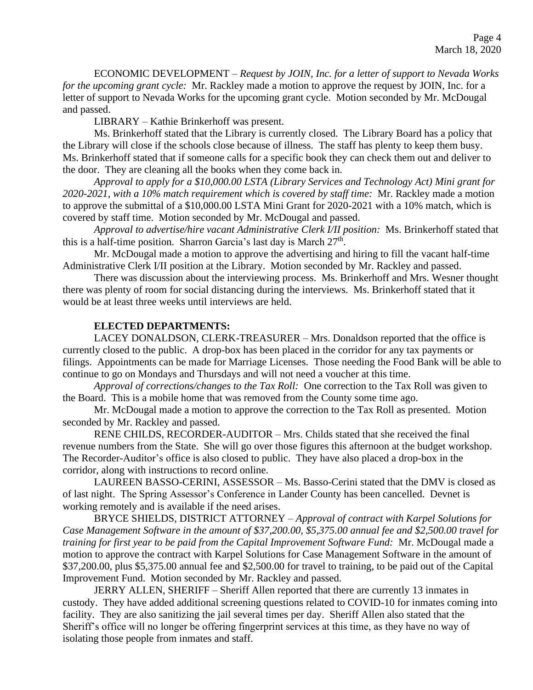ECONOMIC DEVELOPMENT – *Request by JOIN, Inc. for a letter of support to Nevada Works for the upcoming grant cycle:* Mr. Rackley made a motion to approve the request by JOIN, Inc. for a letter of support to Nevada Works for the upcoming grant cycle. Motion seconded by Mr. McDougal and passed.

LIBRARY – Kathie Brinkerhoff was present.

Ms. Brinkerhoff stated that the Library is currently closed. The Library Board has a policy that the Library will close if the schools close because of illness. The staff has plenty to keep them busy. Ms. Brinkerhoff stated that if someone calls for a specific book they can check them out and deliver to the door. They are cleaning all the books when they come back in.

*Approval to apply for a \$10,000.00 LSTA (Library Services and Technology Act) Mini grant for 2020-2021, with a 10% match requirement which is covered by staff time:* Mr. Rackley made a motion to approve the submittal of a \$10,000.00 LSTA Mini Grant for 2020-2021 with a 10% match, which is covered by staff time. Motion seconded by Mr. McDougal and passed.

*Approval to advertise/hire vacant Administrative Clerk I/II position:* Ms. Brinkerhoff stated that this is a half-time position. Sharron Garcia's last day is March  $27<sup>th</sup>$ .

Mr. McDougal made a motion to approve the advertising and hiring to fill the vacant half-time Administrative Clerk I/II position at the Library. Motion seconded by Mr. Rackley and passed.

There was discussion about the interviewing process. Ms. Brinkerhoff and Mrs. Wesner thought there was plenty of room for social distancing during the interviews. Ms. Brinkerhoff stated that it would be at least three weeks until interviews are held.

### **ELECTED DEPARTMENTS:**

LACEY DONALDSON, CLERK-TREASURER – Mrs. Donaldson reported that the office is currently closed to the public. A drop-box has been placed in the corridor for any tax payments or filings. Appointments can be made for Marriage Licenses. Those needing the Food Bank will be able to continue to go on Mondays and Thursdays and will not need a voucher at this time.

*Approval of corrections/changes to the Tax Roll:* One correction to the Tax Roll was given to the Board. This is a mobile home that was removed from the County some time ago.

Mr. McDougal made a motion to approve the correction to the Tax Roll as presented. Motion seconded by Mr. Rackley and passed.

RENE CHILDS, RECORDER-AUDITOR – Mrs. Childs stated that she received the final revenue numbers from the State. She will go over those figures this afternoon at the budget workshop. The Recorder-Auditor's office is also closed to public. They have also placed a drop-box in the corridor, along with instructions to record online.

LAUREEN BASSO-CERINI, ASSESSOR – Ms. Basso-Cerini stated that the DMV is closed as of last night. The Spring Assessor's Conference in Lander County has been cancelled. Devnet is working remotely and is available if the need arises.

BRYCE SHIELDS, DISTRICT ATTORNEY – *Approval of contract with Karpel Solutions for Case Management Software in the amount of \$37,200.00, \$5,375.00 annual fee and \$2,500.00 travel for training for first year to be paid from the Capital Improvement Software Fund:* Mr. McDougal made a motion to approve the contract with Karpel Solutions for Case Management Software in the amount of \$37,200.00, plus \$5,375.00 annual fee and \$2,500.00 for travel to training, to be paid out of the Capital Improvement Fund. Motion seconded by Mr. Rackley and passed.

JERRY ALLEN, SHERIFF – Sheriff Allen reported that there are currently 13 inmates in custody. They have added additional screening questions related to COVID-10 for inmates coming into facility. They are also sanitizing the jail several times per day. Sheriff Allen also stated that the Sheriff's office will no longer be offering fingerprint services at this time, as they have no way of isolating those people from inmates and staff.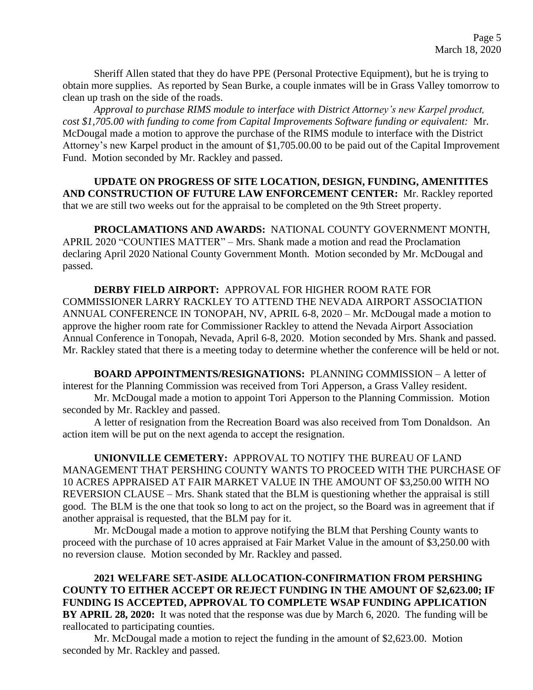Sheriff Allen stated that they do have PPE (Personal Protective Equipment), but he is trying to obtain more supplies. As reported by Sean Burke, a couple inmates will be in Grass Valley tomorrow to clean up trash on the side of the roads.

*Approval to purchase RIMS module to interface with District Attorney's new Karpel product, cost \$1,705.00 with funding to come from Capital Improvements Software funding or equivalent:* Mr. McDougal made a motion to approve the purchase of the RIMS module to interface with the District Attorney's new Karpel product in the amount of \$1,705.00.00 to be paid out of the Capital Improvement Fund. Motion seconded by Mr. Rackley and passed.

**UPDATE ON PROGRESS OF SITE LOCATION, DESIGN, FUNDING, AMENITITES AND CONSTRUCTION OF FUTURE LAW ENFORCEMENT CENTER:** Mr. Rackley reported that we are still two weeks out for the appraisal to be completed on the 9th Street property.

**PROCLAMATIONS AND AWARDS:** NATIONAL COUNTY GOVERNMENT MONTH, APRIL 2020 "COUNTIES MATTER" – Mrs. Shank made a motion and read the Proclamation declaring April 2020 National County Government Month. Motion seconded by Mr. McDougal and passed.

**DERBY FIELD AIRPORT:** APPROVAL FOR HIGHER ROOM RATE FOR COMMISSIONER LARRY RACKLEY TO ATTEND THE NEVADA AIRPORT ASSOCIATION ANNUAL CONFERENCE IN TONOPAH, NV, APRIL 6-8, 2020 – Mr. McDougal made a motion to approve the higher room rate for Commissioner Rackley to attend the Nevada Airport Association Annual Conference in Tonopah, Nevada, April 6-8, 2020. Motion seconded by Mrs. Shank and passed. Mr. Rackley stated that there is a meeting today to determine whether the conference will be held or not.

**BOARD APPOINTMENTS/RESIGNATIONS:** PLANNING COMMISSION – A letter of interest for the Planning Commission was received from Tori Apperson, a Grass Valley resident. Mr. McDougal made a motion to appoint Tori Apperson to the Planning Commission. Motion seconded by Mr. Rackley and passed.

A letter of resignation from the Recreation Board was also received from Tom Donaldson. An action item will be put on the next agenda to accept the resignation.

**UNIONVILLE CEMETERY:** APPROVAL TO NOTIFY THE BUREAU OF LAND MANAGEMENT THAT PERSHING COUNTY WANTS TO PROCEED WITH THE PURCHASE OF 10 ACRES APPRAISED AT FAIR MARKET VALUE IN THE AMOUNT OF \$3,250.00 WITH NO REVERSION CLAUSE – Mrs. Shank stated that the BLM is questioning whether the appraisal is still good. The BLM is the one that took so long to act on the project, so the Board was in agreement that if another appraisal is requested, that the BLM pay for it.

Mr. McDougal made a motion to approve notifying the BLM that Pershing County wants to proceed with the purchase of 10 acres appraised at Fair Market Value in the amount of \$3,250.00 with no reversion clause. Motion seconded by Mr. Rackley and passed.

**2021 WELFARE SET-ASIDE ALLOCATION-CONFIRMATION FROM PERSHING COUNTY TO EITHER ACCEPT OR REJECT FUNDING IN THE AMOUNT OF \$2,623.00; IF FUNDING IS ACCEPTED, APPROVAL TO COMPLETE WSAP FUNDING APPLICATION BY APRIL 28, 2020:** It was noted that the response was due by March 6, 2020. The funding will be reallocated to participating counties.

Mr. McDougal made a motion to reject the funding in the amount of \$2,623.00. Motion seconded by Mr. Rackley and passed.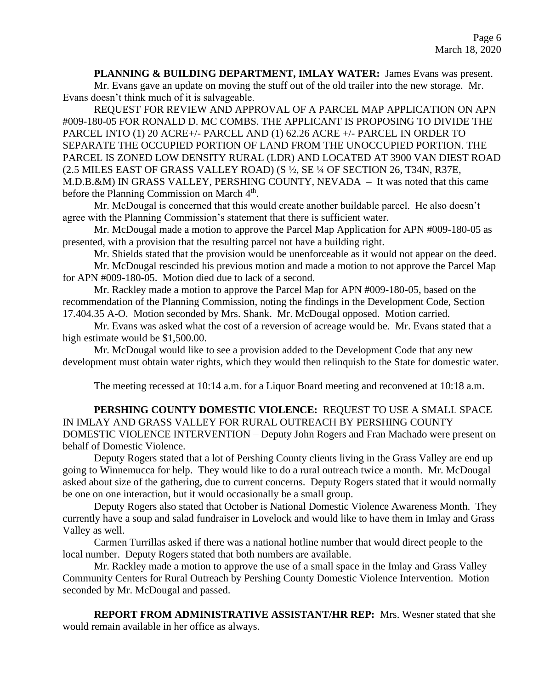**PLANNING & BUILDING DEPARTMENT, IMLAY WATER:** James Evans was present. Mr. Evans gave an update on moving the stuff out of the old trailer into the new storage. Mr. Evans doesn't think much of it is salvageable.

REQUEST FOR REVIEW AND APPROVAL OF A PARCEL MAP APPLICATION ON APN #009-180-05 FOR RONALD D. MC COMBS. THE APPLICANT IS PROPOSING TO DIVIDE THE PARCEL INTO (1) 20 ACRE+/- PARCEL AND (1) 62.26 ACRE +/- PARCEL IN ORDER TO SEPARATE THE OCCUPIED PORTION OF LAND FROM THE UNOCCUPIED PORTION. THE PARCEL IS ZONED LOW DENSITY RURAL (LDR) AND LOCATED AT 3900 VAN DIEST ROAD (2.5 MILES EAST OF GRASS VALLEY ROAD) (S ½, SE ¼ OF SECTION 26, T34N, R37E, M.D.B.&M) IN GRASS VALLEY, PERSHING COUNTY, NEVADA – It was noted that this came before the Planning Commission on March 4<sup>th</sup>.

Mr. McDougal is concerned that this would create another buildable parcel. He also doesn't agree with the Planning Commission's statement that there is sufficient water.

Mr. McDougal made a motion to approve the Parcel Map Application for APN #009-180-05 as presented, with a provision that the resulting parcel not have a building right.

Mr. Shields stated that the provision would be unenforceable as it would not appear on the deed. Mr. McDougal rescinded his previous motion and made a motion to not approve the Parcel Map for APN #009-180-05. Motion died due to lack of a second.

Mr. Rackley made a motion to approve the Parcel Map for APN #009-180-05, based on the recommendation of the Planning Commission, noting the findings in the Development Code, Section 17.404.35 A-O. Motion seconded by Mrs. Shank. Mr. McDougal opposed. Motion carried.

Mr. Evans was asked what the cost of a reversion of acreage would be. Mr. Evans stated that a high estimate would be \$1,500.00.

Mr. McDougal would like to see a provision added to the Development Code that any new development must obtain water rights, which they would then relinquish to the State for domestic water.

The meeting recessed at 10:14 a.m. for a Liquor Board meeting and reconvened at 10:18 a.m.

**PERSHING COUNTY DOMESTIC VIOLENCE:** REQUEST TO USE A SMALL SPACE IN IMLAY AND GRASS VALLEY FOR RURAL OUTREACH BY PERSHING COUNTY DOMESTIC VIOLENCE INTERVENTION – Deputy John Rogers and Fran Machado were present on behalf of Domestic Violence.

Deputy Rogers stated that a lot of Pershing County clients living in the Grass Valley are end up going to Winnemucca for help. They would like to do a rural outreach twice a month. Mr. McDougal asked about size of the gathering, due to current concerns. Deputy Rogers stated that it would normally be one on one interaction, but it would occasionally be a small group.

Deputy Rogers also stated that October is National Domestic Violence Awareness Month. They currently have a soup and salad fundraiser in Lovelock and would like to have them in Imlay and Grass Valley as well.

Carmen Turrillas asked if there was a national hotline number that would direct people to the local number. Deputy Rogers stated that both numbers are available.

Mr. Rackley made a motion to approve the use of a small space in the Imlay and Grass Valley Community Centers for Rural Outreach by Pershing County Domestic Violence Intervention. Motion seconded by Mr. McDougal and passed.

**REPORT FROM ADMINISTRATIVE ASSISTANT/HR REP:** Mrs. Wesner stated that she would remain available in her office as always.